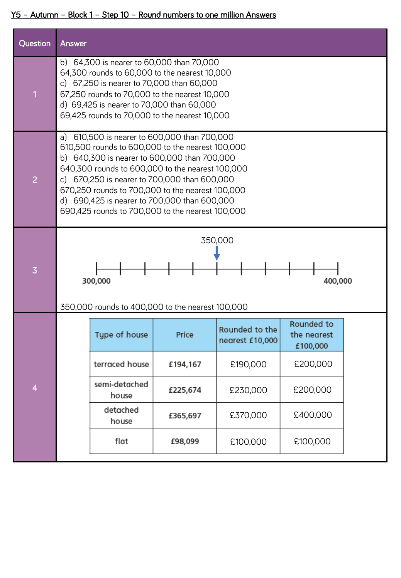## Y5 – Autumn – Block 1 – Step 10 – Round numbers to one million Answers

| Question                | Answer                                                                                                                                                                                                                                                                                                                                                                                                          |          |                                   |                                       |  |  |  |
|-------------------------|-----------------------------------------------------------------------------------------------------------------------------------------------------------------------------------------------------------------------------------------------------------------------------------------------------------------------------------------------------------------------------------------------------------------|----------|-----------------------------------|---------------------------------------|--|--|--|
|                         | b) 64,300 is nearer to 60,000 than 70,000<br>64,300 rounds to 60,000 to the nearest 10,000<br>c) 67,250 is nearer to 70,000 than 60,000<br>67,250 rounds to 70,000 to the nearest 10,000<br>d) 69,425 is nearer to 70,000 than 60,000<br>69,425 rounds to 70,000 to the nearest 10,000                                                                                                                          |          |                                   |                                       |  |  |  |
| $\overline{2}$          | 610,500 is nearer to 600,000 than 700,000<br>a)<br>610,500 rounds to 600,000 to the nearest 100,000<br>b) 640,300 is nearer to 600,000 than 700,000<br>640,300 rounds to 600,000 to the nearest 100,000<br>c) 670,250 is nearer to 700,000 than 600,000<br>670,250 rounds to 700,000 to the nearest 100,000<br>d) 690,425 is nearer to 700,000 than 600,000<br>690,425 rounds to 700,000 to the nearest 100,000 |          |                                   |                                       |  |  |  |
| $\overline{3}$          | 350,000<br>300,000<br>400,000<br>350,000 rounds to 400,000 to the nearest 100,000                                                                                                                                                                                                                                                                                                                               |          |                                   |                                       |  |  |  |
| $\overline{\mathbf{4}}$ | Type of house                                                                                                                                                                                                                                                                                                                                                                                                   | Price    | Rounded to the<br>nearest £10,000 | Rounded to<br>the nearest<br>£100,000 |  |  |  |
|                         | terraced house                                                                                                                                                                                                                                                                                                                                                                                                  | £194,167 | £190,000                          | £200,000                              |  |  |  |
|                         | semi-detached<br>house                                                                                                                                                                                                                                                                                                                                                                                          | £225,674 | £230,000                          | £200,000                              |  |  |  |
|                         | detached<br>house                                                                                                                                                                                                                                                                                                                                                                                               | £365,697 | £370,000                          | £400,000                              |  |  |  |
|                         | flat                                                                                                                                                                                                                                                                                                                                                                                                            | £98,099  | £100,000                          | £100,000                              |  |  |  |